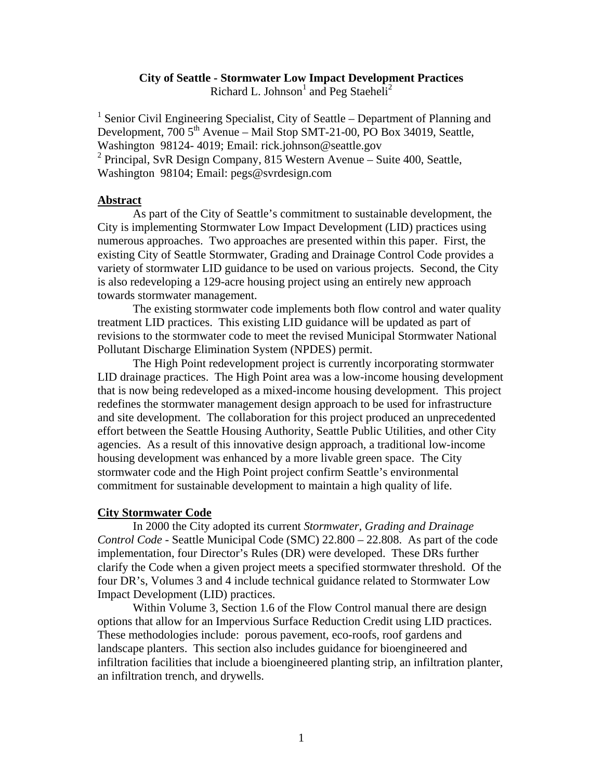# **City of Seattle - Stormwater Low Impact Development Practices**

Richard L. Johnson<sup>1</sup> and Peg Staeheli<sup>2</sup>

<sup>1</sup> Senior Civil Engineering Specialist, City of Seattle – Department of Planning and Development, 700 5<sup>th</sup> Avenue – Mail Stop SMT-21-00, PO Box 34019, Seattle, Washington 98124- 4019; Email: rick.johnson@seattle.gov  $2$  Principal, SvR Design Company, 815 Western Avenue – Suite 400, Seattle, Washington 98104; Email: [pegs@svrdesign.com](mailto:pegs@svrdesign.com)

# **Abstract**

 As part of the City of Seattle's commitment to sustainable development, the City is implementing Stormwater Low Impact Development (LID) practices using numerous approaches. Two approaches are presented within this paper. First, the existing City of Seattle Stormwater, Grading and Drainage Control Code provides a variety of stormwater LID guidance to be used on various projects. Second, the City is also redeveloping a 129-acre housing project using an entirely new approach towards stormwater management.

 The existing stormwater code implements both flow control and water quality treatment LID practices. This existing LID guidance will be updated as part of revisions to the stormwater code to meet the revised Municipal Stormwater National Pollutant Discharge Elimination System (NPDES) permit.

 The High Point redevelopment project is currently incorporating stormwater LID drainage practices. The High Point area was a low-income housing development that is now being redeveloped as a mixed-income housing development. This project redefines the stormwater management design approach to be used for infrastructure and site development. The collaboration for this project produced an unprecedented effort between the Seattle Housing Authority, Seattle Public Utilities, and other City agencies. As a result of this innovative design approach, a traditional low-income housing development was enhanced by a more livable green space. The City stormwater code and the High Point project confirm Seattle's environmental commitment for sustainable development to maintain a high quality of life.

## **City Stormwater Code**

 In 2000 the City adopted its current *Stormwater, Grading and Drainage Control Code* - Seattle Municipal Code (SMC) 22.800 – 22.808. As part of the code implementation, four Director's Rules (DR) were developed. These DRs further clarify the Code when a given project meets a specified stormwater threshold. Of the four DR's, Volumes 3 and 4 include technical guidance related to Stormwater Low Impact Development (LID) practices.

 Within Volume 3, Section 1.6 of the Flow Control manual there are design options that allow for an Impervious Surface Reduction Credit using LID practices. These methodologies include: porous pavement, eco-roofs, roof gardens and landscape planters. This section also includes guidance for bioengineered and infiltration facilities that include a bioengineered planting strip, an infiltration planter, an infiltration trench, and drywells.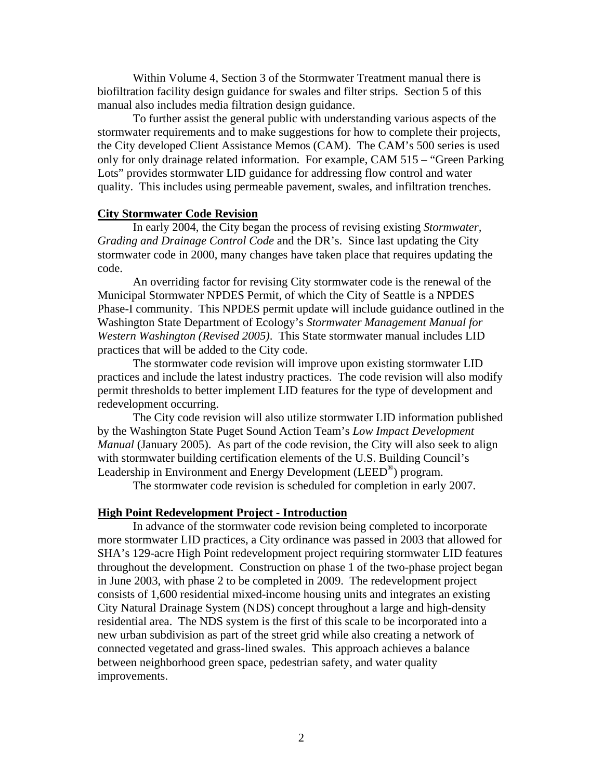Within Volume 4, Section 3 of the Stormwater Treatment manual there is biofiltration facility design guidance for swales and filter strips. Section 5 of this manual also includes media filtration design guidance.

 To further assist the general public with understanding various aspects of the stormwater requirements and to make suggestions for how to complete their projects, the City developed Client Assistance Memos (CAM). The CAM's 500 series is used only for only drainage related information. For example, CAM 515 – "Green Parking Lots" provides stormwater LID guidance for addressing flow control and water quality. This includes using permeable pavement, swales, and infiltration trenches.

## **City Stormwater Code Revision**

 In early 2004, the City began the process of revising existing *Stormwater, Grading and Drainage Control Code* and the DR's. Since last updating the City stormwater code in 2000, many changes have taken place that requires updating the code.

 An overriding factor for revising City stormwater code is the renewal of the Municipal Stormwater NPDES Permit, of which the City of Seattle is a NPDES Phase-I community. This NPDES permit update will include guidance outlined in the Washington State Department of Ecology's *Stormwater Management Manual for Western Washington (Revised 2005)*. This State stormwater manual includes LID practices that will be added to the City code.

 The stormwater code revision will improve upon existing stormwater LID practices and include the latest industry practices. The code revision will also modify permit thresholds to better implement LID features for the type of development and redevelopment occurring.

 The City code revision will also utilize stormwater LID information published by the Washington State Puget Sound Action Team's *Low Impact Development Manual* (January 2005). As part of the code revision, the City will also seek to align with stormwater building certification elements of the U.S. Building Council's Leadership in Environment and Energy Development (LEED®) program.

The stormwater code revision is scheduled for completion in early 2007.

#### **High Point Redevelopment Project - Introduction**

 In advance of the stormwater code revision being completed to incorporate more stormwater LID practices, a City ordinance was passed in 2003 that allowed for SHA's 129-acre High Point redevelopment project requiring stormwater LID features throughout the development. Construction on phase 1 of the two-phase project began in June 2003, with phase 2 to be completed in 2009. The redevelopment project consists of 1,600 residential mixed-income housing units and integrates an existing City Natural Drainage System (NDS) concept throughout a large and high-density residential area. The NDS system is the first of this scale to be incorporated into a new urban subdivision as part of the street grid while also creating a network of connected vegetated and grass-lined swales. This approach achieves a balance between neighborhood green space, pedestrian safety, and water quality improvements.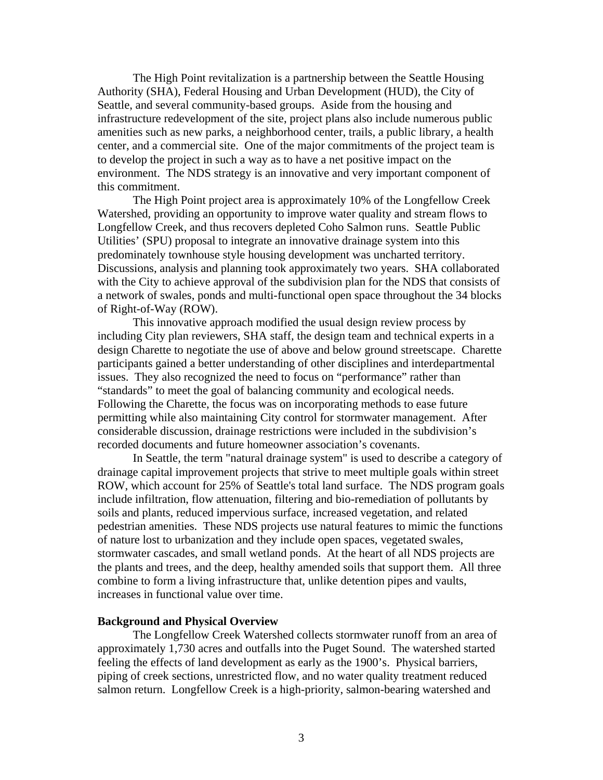The High Point revitalization is a partnership between the Seattle Housing Authority (SHA), Federal Housing and Urban Development (HUD), the City of Seattle, and several community-based groups. Aside from the housing and infrastructure redevelopment of the site, project plans also include numerous public amenities such as new parks, a neighborhood center, trails, a public library, a health center, and a commercial site. One of the major commitments of the project team is to develop the project in such a way as to have a net positive impact on the environment. The NDS strategy is an innovative and very important component of this commitment.

 The High Point project area is approximately 10% of the Longfellow Creek Watershed, providing an opportunity to improve water quality and stream flows to Longfellow Creek, and thus recovers depleted Coho Salmon runs. Seattle Public Utilities' (SPU) proposal to integrate an innovative drainage system into this predominately townhouse style housing development was uncharted territory. Discussions, analysis and planning took approximately two years. SHA collaborated with the City to achieve approval of the subdivision plan for the NDS that consists of a network of swales, ponds and multi-functional open space throughout the 34 blocks of Right-of-Way (ROW).

 This innovative approach modified the usual design review process by including City plan reviewers, SHA staff, the design team and technical experts in a design Charette to negotiate the use of above and below ground streetscape. Charette participants gained a better understanding of other disciplines and interdepartmental issues. They also recognized the need to focus on "performance" rather than "standards" to meet the goal of balancing community and ecological needs. Following the Charette, the focus was on incorporating methods to ease future permitting while also maintaining City control for stormwater management. After considerable discussion, drainage restrictions were included in the subdivision's recorded documents and future homeowner association's covenants.

 In Seattle, the term "natural drainage system" is used to describe a category of drainage capital improvement projects that strive to meet multiple goals within street ROW, which account for 25% of Seattle's total land surface. The NDS program goals include infiltration, flow attenuation, filtering and bio-remediation of pollutants by soils and plants, reduced impervious surface, increased vegetation, and related pedestrian amenities. These NDS projects use natural features to mimic the functions of nature lost to urbanization and they include open spaces, vegetated swales, stormwater cascades, and small wetland ponds. At the heart of all NDS projects are the plants and trees, and the deep, healthy amended soils that support them. All three combine to form a living infrastructure that, unlike detention pipes and vaults, increases in functional value over time.

## **Background and Physical Overview**

 The Longfellow Creek Watershed collects stormwater runoff from an area of approximately 1,730 acres and outfalls into the Puget Sound. The watershed started feeling the effects of land development as early as the 1900's. Physical barriers, piping of creek sections, unrestricted flow, and no water quality treatment reduced salmon return. Longfellow Creek is a high-priority, salmon-bearing watershed and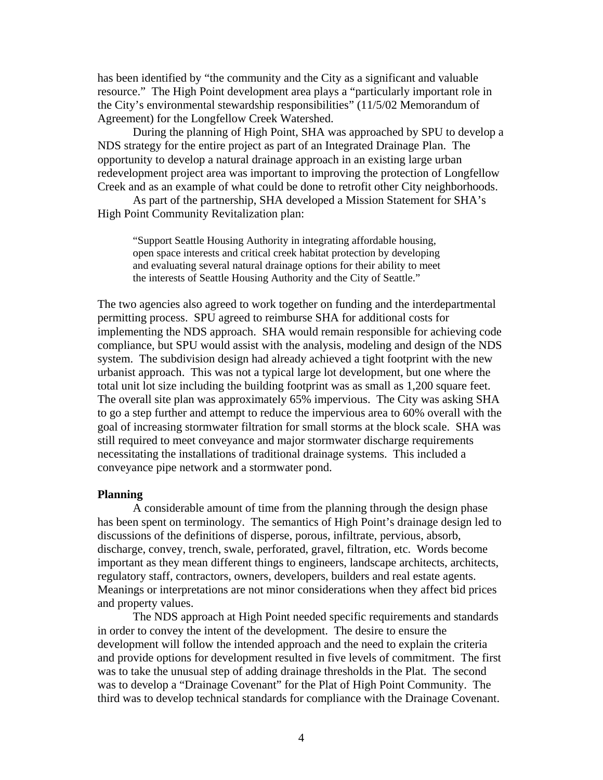has been identified by "the community and the City as a significant and valuable resource." The High Point development area plays a "particularly important role in the City's environmental stewardship responsibilities" (11/5/02 Memorandum of Agreement) for the Longfellow Creek Watershed.

 During the planning of High Point, SHA was approached by SPU to develop a NDS strategy for the entire project as part of an Integrated Drainage Plan. The opportunity to develop a natural drainage approach in an existing large urban redevelopment project area was important to improving the protection of Longfellow Creek and as an example of what could be done to retrofit other City neighborhoods.

 As part of the partnership, SHA developed a Mission Statement for SHA's High Point Community Revitalization plan:

"Support Seattle Housing Authority in integrating affordable housing, open space interests and critical creek habitat protection by developing and evaluating several natural drainage options for their ability to meet the interests of Seattle Housing Authority and the City of Seattle."

The two agencies also agreed to work together on funding and the interdepartmental permitting process. SPU agreed to reimburse SHA for additional costs for implementing the NDS approach. SHA would remain responsible for achieving code compliance, but SPU would assist with the analysis, modeling and design of the NDS system. The subdivision design had already achieved a tight footprint with the new urbanist approach. This was not a typical large lot development, but one where the total unit lot size including the building footprint was as small as 1,200 square feet. The overall site plan was approximately 65% impervious. The City was asking SHA to go a step further and attempt to reduce the impervious area to 60% overall with the goal of increasing stormwater filtration for small storms at the block scale. SHA was still required to meet conveyance and major stormwater discharge requirements necessitating the installations of traditional drainage systems. This included a conveyance pipe network and a stormwater pond.

#### **Planning**

 A considerable amount of time from the planning through the design phase has been spent on terminology. The semantics of High Point's drainage design led to discussions of the definitions of disperse, porous, infiltrate, pervious, absorb, discharge, convey, trench, swale, perforated, gravel, filtration, etc. Words become important as they mean different things to engineers, landscape architects, architects, regulatory staff, contractors, owners, developers, builders and real estate agents. Meanings or interpretations are not minor considerations when they affect bid prices and property values.

 The NDS approach at High Point needed specific requirements and standards in order to convey the intent of the development. The desire to ensure the development will follow the intended approach and the need to explain the criteria and provide options for development resulted in five levels of commitment. The first was to take the unusual step of adding drainage thresholds in the Plat. The second was to develop a "Drainage Covenant" for the Plat of High Point Community. The third was to develop technical standards for compliance with the Drainage Covenant.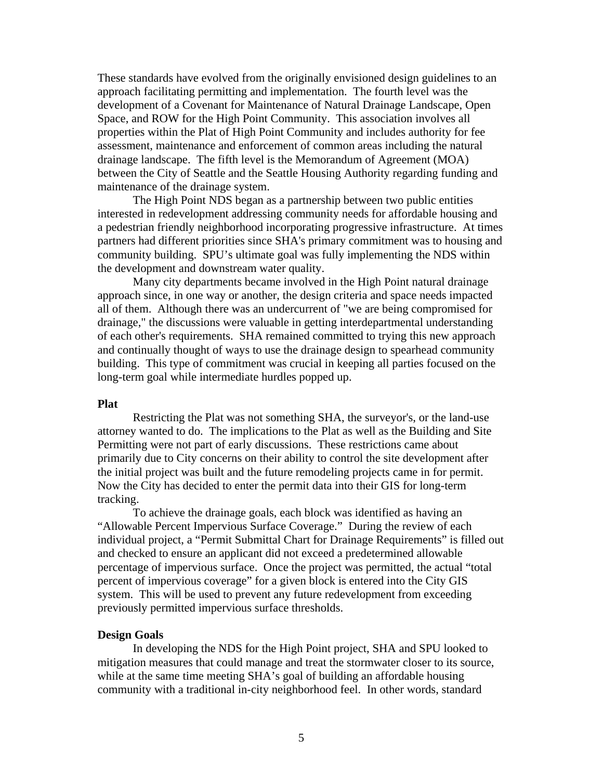These standards have evolved from the originally envisioned design guidelines to an approach facilitating permitting and implementation. The fourth level was the development of a Covenant for Maintenance of Natural Drainage Landscape, Open Space, and ROW for the High Point Community. This association involves all properties within the Plat of High Point Community and includes authority for fee assessment, maintenance and enforcement of common areas including the natural drainage landscape. The fifth level is the Memorandum of Agreement (MOA) between the City of Seattle and the Seattle Housing Authority regarding funding and maintenance of the drainage system.

 The High Point NDS began as a partnership between two public entities interested in redevelopment addressing community needs for affordable housing and a pedestrian friendly neighborhood incorporating progressive infrastructure. At times partners had different priorities since SHA's primary commitment was to housing and community building. SPU's ultimate goal was fully implementing the NDS within the development and downstream water quality.

 Many city departments became involved in the High Point natural drainage approach since, in one way or another, the design criteria and space needs impacted all of them. Although there was an undercurrent of "we are being compromised for drainage," the discussions were valuable in getting interdepartmental understanding of each other's requirements. SHA remained committed to trying this new approach and continually thought of ways to use the drainage design to spearhead community building. This type of commitment was crucial in keeping all parties focused on the long-term goal while intermediate hurdles popped up.

#### **Plat**

 Restricting the Plat was not something SHA, the surveyor's, or the land-use attorney wanted to do. The implications to the Plat as well as the Building and Site Permitting were not part of early discussions. These restrictions came about primarily due to City concerns on their ability to control the site development after the initial project was built and the future remodeling projects came in for permit. Now the City has decided to enter the permit data into their GIS for long-term tracking.

 To achieve the drainage goals, each block was identified as having an "Allowable Percent Impervious Surface Coverage." During the review of each individual project, a "Permit Submittal Chart for Drainage Requirements" is filled out and checked to ensure an applicant did not exceed a predetermined allowable percentage of impervious surface. Once the project was permitted, the actual "total percent of impervious coverage" for a given block is entered into the City GIS system. This will be used to prevent any future redevelopment from exceeding previously permitted impervious surface thresholds.

#### **Design Goals**

 In developing the NDS for the High Point project, SHA and SPU looked to mitigation measures that could manage and treat the stormwater closer to its source, while at the same time meeting SHA's goal of building an affordable housing community with a traditional in-city neighborhood feel. In other words, standard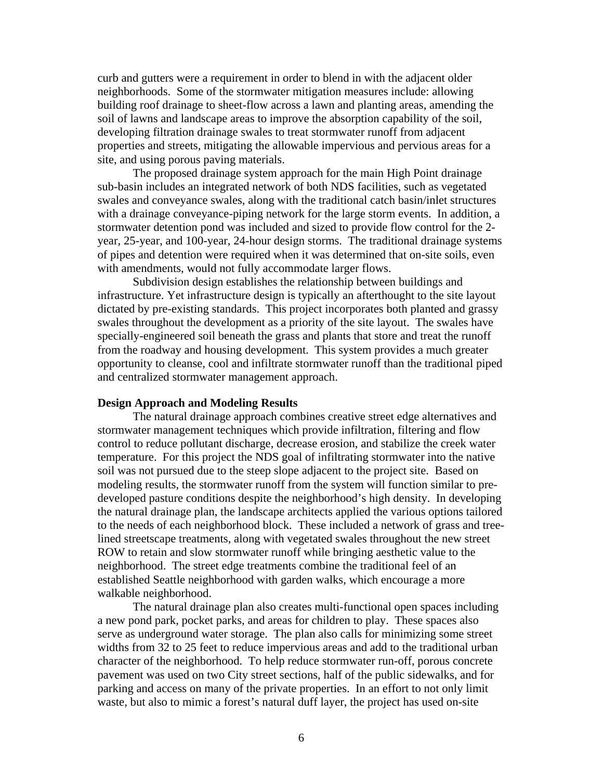curb and gutters were a requirement in order to blend in with the adjacent older neighborhoods. Some of the stormwater mitigation measures include: allowing building roof drainage to sheet-flow across a lawn and planting areas, amending the soil of lawns and landscape areas to improve the absorption capability of the soil, developing filtration drainage swales to treat stormwater runoff from adjacent properties and streets, mitigating the allowable impervious and pervious areas for a site, and using porous paving materials.

 The proposed drainage system approach for the main High Point drainage sub-basin includes an integrated network of both NDS facilities, such as vegetated swales and conveyance swales, along with the traditional catch basin/inlet structures with a drainage conveyance-piping network for the large storm events. In addition, a stormwater detention pond was included and sized to provide flow control for the 2 year, 25-year, and 100-year, 24-hour design storms. The traditional drainage systems of pipes and detention were required when it was determined that on-site soils, even with amendments, would not fully accommodate larger flows.

 Subdivision design establishes the relationship between buildings and infrastructure. Yet infrastructure design is typically an afterthought to the site layout dictated by pre-existing standards. This project incorporates both planted and grassy swales throughout the development as a priority of the site layout. The swales have specially-engineered soil beneath the grass and plants that store and treat the runoff from the roadway and housing development. This system provides a much greater opportunity to cleanse, cool and infiltrate stormwater runoff than the traditional piped and centralized stormwater management approach.

## **Design Approach and Modeling Results**

 The natural drainage approach combines creative street edge alternatives and stormwater management techniques which provide infiltration, filtering and flow control to reduce pollutant discharge, decrease erosion, and stabilize the creek water temperature. For this project the NDS goal of infiltrating stormwater into the native soil was not pursued due to the steep slope adjacent to the project site. Based on modeling results, the stormwater runoff from the system will function similar to predeveloped pasture conditions despite the neighborhood's high density. In developing the natural drainage plan, the landscape architects applied the various options tailored to the needs of each neighborhood block. These included a network of grass and treelined streetscape treatments, along with vegetated swales throughout the new street ROW to retain and slow stormwater runoff while bringing aesthetic value to the neighborhood. The street edge treatments combine the traditional feel of an established Seattle neighborhood with garden walks, which encourage a more walkable neighborhood.

 The natural drainage plan also creates multi-functional open spaces including a new pond park, pocket parks, and areas for children to play. These spaces also serve as underground water storage. The plan also calls for minimizing some street widths from 32 to 25 feet to reduce impervious areas and add to the traditional urban character of the neighborhood. To help reduce stormwater run-off, porous concrete pavement was used on two City street sections, half of the public sidewalks, and for parking and access on many of the private properties. In an effort to not only limit waste, but also to mimic a forest's natural duff layer, the project has used on-site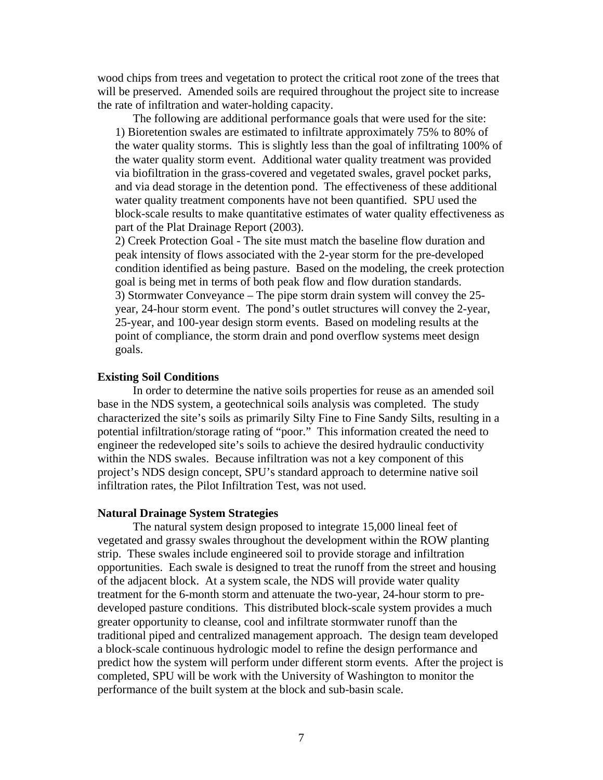wood chips from trees and vegetation to protect the critical root zone of the trees that will be preserved. Amended soils are required throughout the project site to increase the rate of infiltration and water-holding capacity.

 The following are additional performance goals that were used for the site: 1) Bioretention swales are estimated to infiltrate approximately 75% to 80% of the water quality storms. This is slightly less than the goal of infiltrating 100% of the water quality storm event. Additional water quality treatment was provided via biofiltration in the grass-covered and vegetated swales, gravel pocket parks, and via dead storage in the detention pond. The effectiveness of these additional water quality treatment components have not been quantified. SPU used the block-scale results to make quantitative estimates of water quality effectiveness as part of the Plat Drainage Report (2003).

2) Creek Protection Goal - The site must match the baseline flow duration and peak intensity of flows associated with the 2-year storm for the pre-developed condition identified as being pasture. Based on the modeling, the creek protection goal is being met in terms of both peak flow and flow duration standards. 3) Stormwater Conveyance – The pipe storm drain system will convey the 25 year, 24-hour storm event. The pond's outlet structures will convey the 2-year, 25-year, and 100-year design storm events. Based on modeling results at the point of compliance, the storm drain and pond overflow systems meet design goals.

# **Existing Soil Conditions**

In order to determine the native soils properties for reuse as an amended soil base in the NDS system, a geotechnical soils analysis was completed. The study characterized the site's soils as primarily Silty Fine to Fine Sandy Silts, resulting in a potential infiltration/storage rating of "poor." This information created the need to engineer the redeveloped site's soils to achieve the desired hydraulic conductivity within the NDS swales. Because infiltration was not a key component of this project's NDS design concept, SPU's standard approach to determine native soil infiltration rates, the Pilot Infiltration Test, was not used.

#### **Natural Drainage System Strategies**

 The natural system design proposed to integrate 15,000 lineal feet of vegetated and grassy swales throughout the development within the ROW planting strip. These swales include engineered soil to provide storage and infiltration opportunities. Each swale is designed to treat the runoff from the street and housing of the adjacent block. At a system scale, the NDS will provide water quality treatment for the 6-month storm and attenuate the two-year, 24-hour storm to predeveloped pasture conditions. This distributed block-scale system provides a much greater opportunity to cleanse, cool and infiltrate stormwater runoff than the traditional piped and centralized management approach. The design team developed a block-scale continuous hydrologic model to refine the design performance and predict how the system will perform under different storm events. After the project is completed, SPU will be work with the University of Washington to monitor the performance of the built system at the block and sub-basin scale.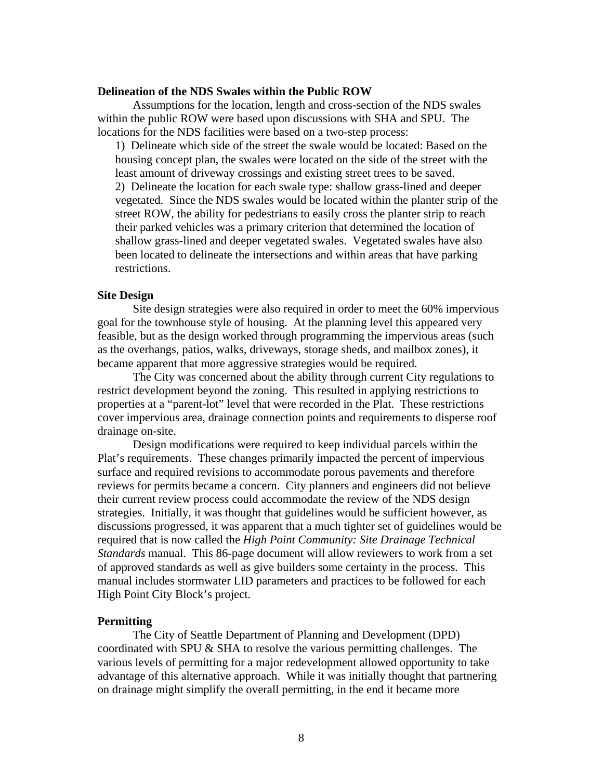#### **Delineation of the NDS Swales within the Public ROW**

 Assumptions for the location, length and cross-section of the NDS swales within the public ROW were based upon discussions with SHA and SPU. The locations for the NDS facilities were based on a two-step process:

1) Delineate which side of the street the swale would be located: Based on the housing concept plan, the swales were located on the side of the street with the least amount of driveway crossings and existing street trees to be saved. 2) Delineate the location for each swale type: shallow grass-lined and deeper vegetated. Since the NDS swales would be located within the planter strip of the street ROW, the ability for pedestrians to easily cross the planter strip to reach their parked vehicles was a primary criterion that determined the location of shallow grass-lined and deeper vegetated swales. Vegetated swales have also been located to delineate the intersections and within areas that have parking restrictions.

# **Site Design**

 Site design strategies were also required in order to meet the 60% impervious goal for the townhouse style of housing. At the planning level this appeared very feasible, but as the design worked through programming the impervious areas (such as the overhangs, patios, walks, driveways, storage sheds, and mailbox zones), it became apparent that more aggressive strategies would be required.

 The City was concerned about the ability through current City regulations to restrict development beyond the zoning. This resulted in applying restrictions to properties at a "parent-lot" level that were recorded in the Plat. These restrictions cover impervious area, drainage connection points and requirements to disperse roof drainage on-site.

 Design modifications were required to keep individual parcels within the Plat's requirements. These changes primarily impacted the percent of impervious surface and required revisions to accommodate porous pavements and therefore reviews for permits became a concern. City planners and engineers did not believe their current review process could accommodate the review of the NDS design strategies. Initially, it was thought that guidelines would be sufficient however, as discussions progressed, it was apparent that a much tighter set of guidelines would be required that is now called the *High Point Community: Site Drainage Technical Standards* manual. This 86-page document will allow reviewers to work from a set of approved standards as well as give builders some certainty in the process. This manual includes stormwater LID parameters and practices to be followed for each High Point City Block's project.

#### **Permitting**

 The City of Seattle Department of Planning and Development (DPD) coordinated with SPU & SHA to resolve the various permitting challenges. The various levels of permitting for a major redevelopment allowed opportunity to take advantage of this alternative approach. While it was initially thought that partnering on drainage might simplify the overall permitting, in the end it became more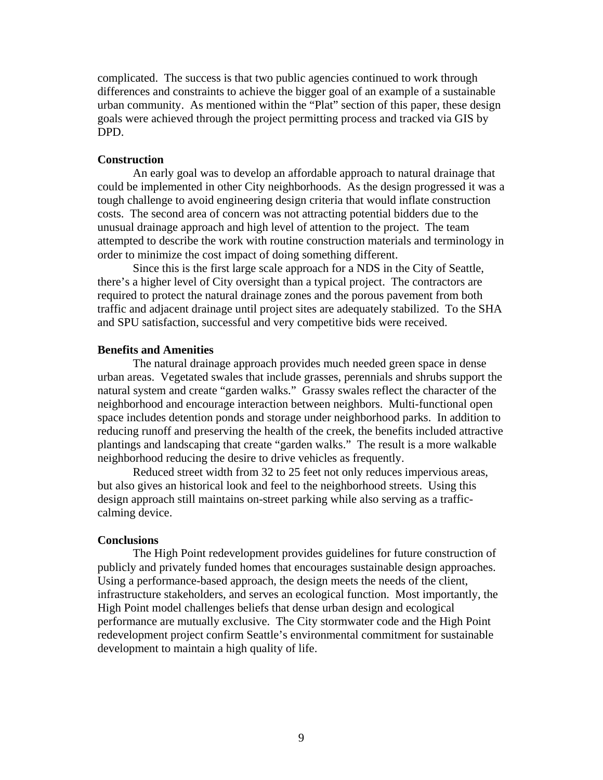complicated. The success is that two public agencies continued to work through differences and constraints to achieve the bigger goal of an example of a sustainable urban community. As mentioned within the "Plat" section of this paper, these design goals were achieved through the project permitting process and tracked via GIS by DPD.

## **Construction**

 An early goal was to develop an affordable approach to natural drainage that could be implemented in other City neighborhoods. As the design progressed it was a tough challenge to avoid engineering design criteria that would inflate construction costs. The second area of concern was not attracting potential bidders due to the unusual drainage approach and high level of attention to the project. The team attempted to describe the work with routine construction materials and terminology in order to minimize the cost impact of doing something different.

 Since this is the first large scale approach for a NDS in the City of Seattle, there's a higher level of City oversight than a typical project. The contractors are required to protect the natural drainage zones and the porous pavement from both traffic and adjacent drainage until project sites are adequately stabilized. To the SHA and SPU satisfaction, successful and very competitive bids were received.

## **Benefits and Amenities**

 The natural drainage approach provides much needed green space in dense urban areas. Vegetated swales that include grasses, perennials and shrubs support the natural system and create "garden walks." Grassy swales reflect the character of the neighborhood and encourage interaction between neighbors. Multi-functional open space includes detention ponds and storage under neighborhood parks. In addition to reducing runoff and preserving the health of the creek, the benefits included attractive plantings and landscaping that create "garden walks." The result is a more walkable neighborhood reducing the desire to drive vehicles as frequently.

 Reduced street width from 32 to 25 feet not only reduces impervious areas, but also gives an historical look and feel to the neighborhood streets. Using this design approach still maintains on-street parking while also serving as a trafficcalming device.

#### **Conclusions**

 The High Point redevelopment provides guidelines for future construction of publicly and privately funded homes that encourages sustainable design approaches. Using a performance-based approach, the design meets the needs of the client, infrastructure stakeholders, and serves an ecological function. Most importantly, the High Point model challenges beliefs that dense urban design and ecological performance are mutually exclusive. The City stormwater code and the High Point redevelopment project confirm Seattle's environmental commitment for sustainable development to maintain a high quality of life.